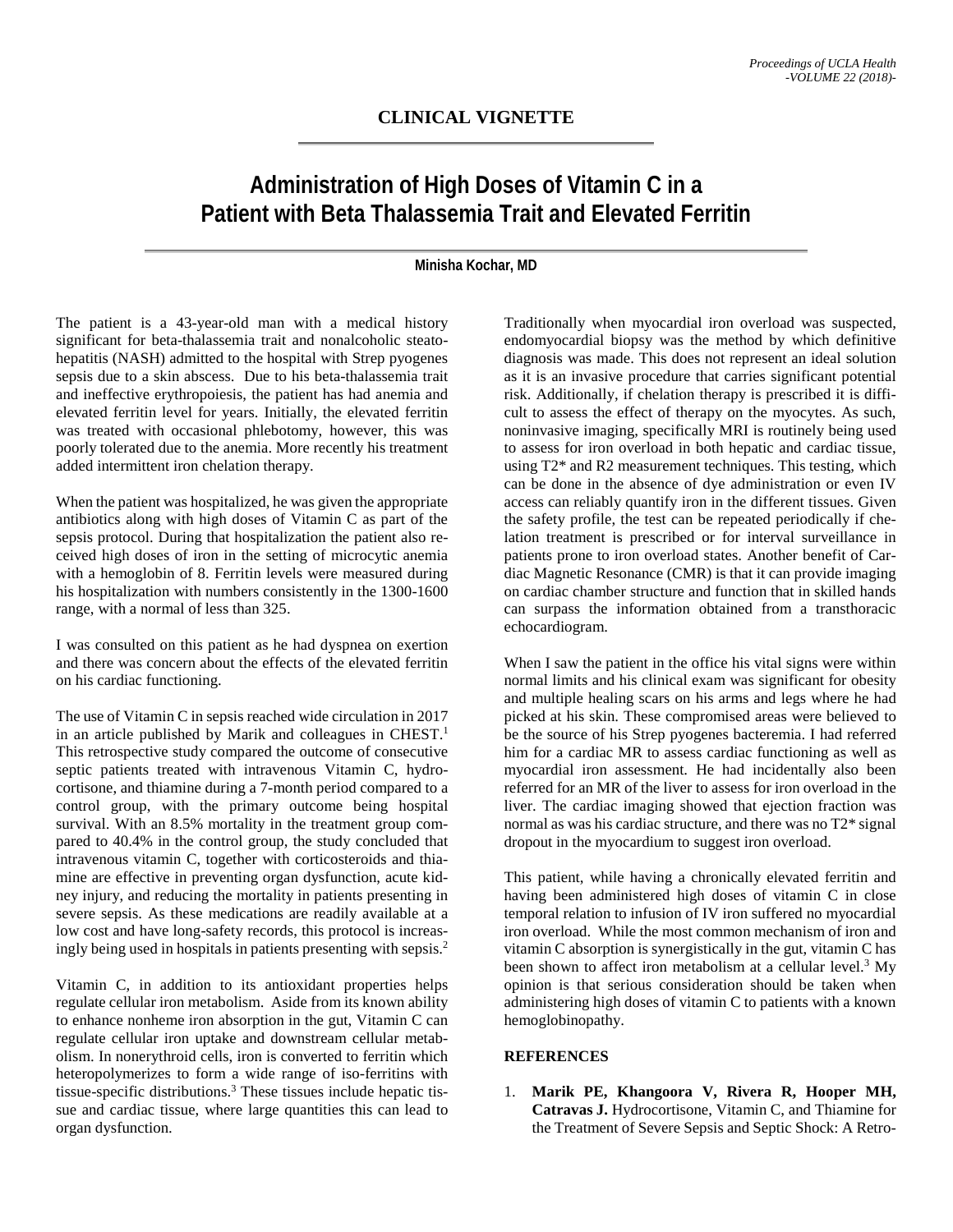## **CLINICAL VIGNETTE**

## **Administration of High Doses of Vitamin C in a Patient with Beta Thalassemia Trait and Elevated Ferritin**

## **Minisha Kochar, MD**

The patient is a 43-year-old man with a medical history significant for beta-thalassemia trait and nonalcoholic steatohepatitis (NASH) admitted to the hospital with Strep pyogenes sepsis due to a skin abscess. Due to his beta-thalassemia trait and ineffective erythropoiesis, the patient has had anemia and elevated ferritin level for years. Initially, the elevated ferritin was treated with occasional phlebotomy, however, this was poorly tolerated due to the anemia. More recently his treatment added intermittent iron chelation therapy.

When the patient was hospitalized, he was given the appropriate antibiotics along with high doses of Vitamin C as part of the sepsis protocol. During that hospitalization the patient also received high doses of iron in the setting of microcytic anemia with a hemoglobin of 8. Ferritin levels were measured during his hospitalization with numbers consistently in the 1300-1600 range, with a normal of less than 325.

I was consulted on this patient as he had dyspnea on exertion and there was concern about the effects of the elevated ferritin on his cardiac functioning.

The use of Vitamin C in sepsis reached wide circulation in 2017 in an article published by Marik and colleagues in CHEST.<sup>1</sup> This retrospective study compared the outcome of consecutive septic patients treated with intravenous Vitamin C, hydrocortisone, and thiamine during a 7-month period compared to a control group, with the primary outcome being hospital survival. With an 8.5% mortality in the treatment group compared to 40.4% in the control group, the study concluded that intravenous vitamin C, together with corticosteroids and thiamine are effective in preventing organ dysfunction, acute kidney injury, and reducing the mortality in patients presenting in severe sepsis. As these medications are readily available at a low cost and have long-safety records, this protocol is increasingly being used in hospitals in patients presenting with sepsis.2

Vitamin C, in addition to its antioxidant properties helps regulate cellular iron metabolism. Aside from its known ability to enhance nonheme iron absorption in the gut, Vitamin C can regulate cellular iron uptake and downstream cellular metabolism. In nonerythroid cells, iron is converted to ferritin which heteropolymerizes to form a wide range of iso-ferritins with tissue-specific distributions.3 These tissues include hepatic tissue and cardiac tissue, where large quantities this can lead to organ dysfunction.

Traditionally when myocardial iron overload was suspected, endomyocardial biopsy was the method by which definitive diagnosis was made. This does not represent an ideal solution as it is an invasive procedure that carries significant potential risk. Additionally, if chelation therapy is prescribed it is difficult to assess the effect of therapy on the myocytes. As such, noninvasive imaging, specifically MRI is routinely being used to assess for iron overload in both hepatic and cardiac tissue, using T2\* and R2 measurement techniques. This testing, which can be done in the absence of dye administration or even IV access can reliably quantify iron in the different tissues. Given the safety profile, the test can be repeated periodically if chelation treatment is prescribed or for interval surveillance in patients prone to iron overload states. Another benefit of Cardiac Magnetic Resonance (CMR) is that it can provide imaging on cardiac chamber structure and function that in skilled hands can surpass the information obtained from a transthoracic echocardiogram.

When I saw the patient in the office his vital signs were within normal limits and his clinical exam was significant for obesity and multiple healing scars on his arms and legs where he had picked at his skin. These compromised areas were believed to be the source of his Strep pyogenes bacteremia. I had referred him for a cardiac MR to assess cardiac functioning as well as myocardial iron assessment. He had incidentally also been referred for an MR of the liver to assess for iron overload in the liver. The cardiac imaging showed that ejection fraction was normal as was his cardiac structure, and there was no T2\* signal dropout in the myocardium to suggest iron overload.

This patient, while having a chronically elevated ferritin and having been administered high doses of vitamin C in close temporal relation to infusion of IV iron suffered no myocardial iron overload. While the most common mechanism of iron and vitamin C absorption is synergistically in the gut, vitamin C has been shown to affect iron metabolism at a cellular level.<sup>3</sup> My opinion is that serious consideration should be taken when administering high doses of vitamin C to patients with a known hemoglobinopathy.

## **REFERENCES**

1. **Marik PE, Khangoora V, Rivera R, Hooper MH, Catravas J.** Hydrocortisone, Vitamin C, and Thiamine for the Treatment of Severe Sepsis and Septic Shock: A Retro